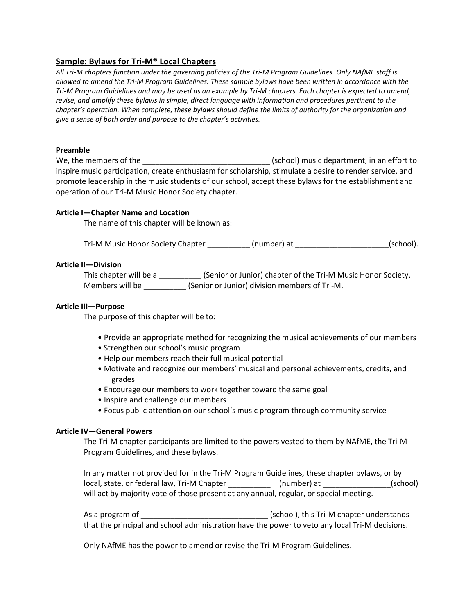# **Sample: Bylaws for Tri-M® Local Chapters**

*All Tri-M chapters function under the governing policies of the Tri-M Program Guidelines. Only NAfME staff is allowed to amend the Tri-M Program Guidelines. These sample bylaws have been written in accordance with the Tri-M Program Guidelines and may be used as an example by Tri-M chapters. Each chapter is expected to amend, revise, and amplify these bylaws in simple, direct language with information and procedures pertinent to the chapter's operation. When complete, these bylaws should define the limits of authority for the organization and give a sense of both order and purpose to the chapter's activities.*

## **Preamble**

We, the members of the \_\_\_\_\_\_\_\_\_\_\_\_\_\_\_\_\_\_\_\_\_\_\_\_\_\_\_\_\_\_ (school) music department, in an effort to inspire music participation, create enthusiasm for scholarship, stimulate a desire to render service, and promote leadership in the music students of our school, accept these bylaws for the establishment and operation of our Tri-M Music Honor Society chapter.

# **Article I—Chapter Name and Location**

The name of this chapter will be known as:

Tri-M Music Honor Society Chapter \_\_\_\_\_\_\_\_\_\_\_(number) at \_\_\_\_\_\_\_\_\_\_\_\_\_\_\_\_\_\_\_\_(school).

## **Article II—Division**

This chapter will be a \_\_\_\_\_\_\_\_\_\_\_\_\_(Senior or Junior) chapter of the Tri-M Music Honor Society. Members will be \_\_\_\_\_\_\_\_\_\_\_ (Senior or Junior) division members of Tri-M.

## **Article III—Purpose**

The purpose of this chapter will be to:

- Provide an appropriate method for recognizing the musical achievements of our members
- Strengthen our school's music program
- Help our members reach their full musical potential
- Motivate and recognize our members' musical and personal achievements, credits, and grades
- Encourage our members to work together toward the same goal
- Inspire and challenge our members
- Focus public attention on our school's music program through community service

# **Article IV—General Powers**

The Tri-M chapter participants are limited to the powers vested to them by NAfME, the Tri-M Program Guidelines, and these bylaws.

In any matter not provided for in the Tri-M Program Guidelines, these chapter bylaws, or by local, state, or federal law, Tri-M Chapter \_\_\_\_\_\_\_\_\_\_ (number) at \_\_\_\_\_\_\_\_\_\_\_\_\_\_\_\_(school) will act by majority vote of those present at any annual, regular, or special meeting.

As a program of \_\_\_\_\_\_\_\_\_\_\_\_\_\_\_\_\_\_\_\_\_\_\_\_\_\_\_\_\_\_ (school), this Tri-M chapter understands that the principal and school administration have the power to veto any local Tri-M decisions.

Only NAfME has the power to amend or revise the Tri-M Program Guidelines.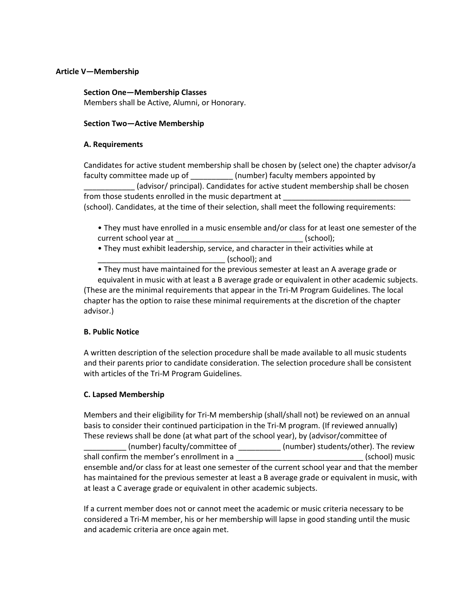## **Article V—Membership**

### **Section One—Membership Classes**

Members shall be Active, Alumni, or Honorary.

## **Section Two—Active Membership**

## **A. Requirements**

Candidates for active student membership shall be chosen by (select one) the chapter advisor/a faculty committee made up of \_\_\_\_\_\_\_\_\_\_\_ (number) faculty members appointed by \_\_\_\_\_\_\_\_\_\_\_\_ (advisor/ principal). Candidates for active student membership shall be chosen from those students enrolled in the music department at (school). Candidates, at the time of their selection, shall meet the following requirements:

- They must have enrolled in a music ensemble and/or class for at least one semester of the current school year at , (school);
- They must exhibit leadership, service, and character in their activities while at \_\_\_\_\_\_\_\_\_\_\_\_\_\_\_\_\_\_\_\_\_\_\_\_\_\_\_\_\_\_ (school); and
- They must have maintained for the previous semester at least an A average grade or

equivalent in music with at least a B average grade or equivalent in other academic subjects. (These are the minimal requirements that appear in the Tri-M Program Guidelines. The local chapter has the option to raise these minimal requirements at the discretion of the chapter advisor.)

# **B. Public Notice**

A written description of the selection procedure shall be made available to all music students and their parents prior to candidate consideration. The selection procedure shall be consistent with articles of the Tri-M Program Guidelines.

# **C. Lapsed Membership**

Members and their eligibility for Tri-M membership (shall/shall not) be reviewed on an annual basis to consider their continued participation in the Tri-M program. (If reviewed annually) These reviews shall be done (at what part of the school year), by (advisor/committee of \_\_\_\_\_\_\_\_\_\_ (number) faculty/committee of \_\_\_\_\_\_\_\_\_\_ (number) students/other). The review shall confirm the member's enrollment in a  $\qquad \qquad$  (school) music ensemble and/or class for at least one semester of the current school year and that the member has maintained for the previous semester at least a B average grade or equivalent in music, with at least a C average grade or equivalent in other academic subjects.

If a current member does not or cannot meet the academic or music criteria necessary to be considered a Tri-M member, his or her membership will lapse in good standing until the music and academic criteria are once again met.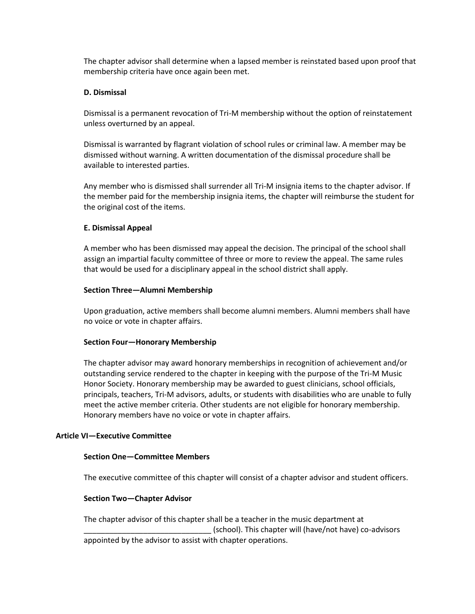The chapter advisor shall determine when a lapsed member is reinstated based upon proof that membership criteria have once again been met.

## **D. Dismissal**

Dismissal is a permanent revocation of Tri-M membership without the option of reinstatement unless overturned by an appeal.

Dismissal is warranted by flagrant violation of school rules or criminal law. A member may be dismissed without warning. A written documentation of the dismissal procedure shall be available to interested parties.

Any member who is dismissed shall surrender all Tri-M insignia items to the chapter advisor. If the member paid for the membership insignia items, the chapter will reimburse the student for the original cost of the items.

## **E. Dismissal Appeal**

A member who has been dismissed may appeal the decision. The principal of the school shall assign an impartial faculty committee of three or more to review the appeal. The same rules that would be used for a disciplinary appeal in the school district shall apply.

## **Section Three—Alumni Membership**

Upon graduation, active members shall become alumni members. Alumni members shall have no voice or vote in chapter affairs.

# **Section Four—Honorary Membership**

The chapter advisor may award honorary memberships in recognition of achievement and/or outstanding service rendered to the chapter in keeping with the purpose of the Tri-M Music Honor Society. Honorary membership may be awarded to guest clinicians, school officials, principals, teachers, Tri-M advisors, adults, or students with disabilities who are unable to fully meet the active member criteria. Other students are not eligible for honorary membership. Honorary members have no voice or vote in chapter affairs.

### **Article VI—Executive Committee**

### **Section One—Committee Members**

The executive committee of this chapter will consist of a chapter advisor and student officers.

# **Section Two—Chapter Advisor**

The chapter advisor of this chapter shall be a teacher in the music department at \_\_\_\_\_\_\_\_\_\_\_\_\_\_\_\_\_\_\_\_\_\_\_\_\_\_\_\_\_\_ (school). This chapter will (have/not have) co-advisors appointed by the advisor to assist with chapter operations.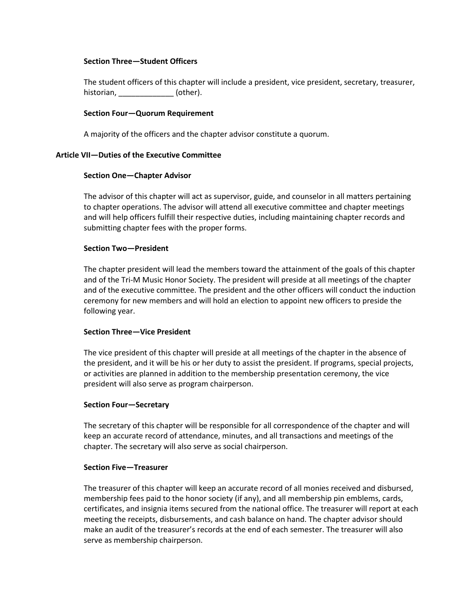## **Section Three—Student Officers**

The student officers of this chapter will include a president, vice president, secretary, treasurer, historian, \_\_\_\_\_\_\_\_\_\_\_\_\_\_\_\_\_ (other).

### **Section Four—Quorum Requirement**

A majority of the officers and the chapter advisor constitute a quorum.

### **Article VII—Duties of the Executive Committee**

### **Section One—Chapter Advisor**

The advisor of this chapter will act as supervisor, guide, and counselor in all matters pertaining to chapter operations. The advisor will attend all executive committee and chapter meetings and will help officers fulfill their respective duties, including maintaining chapter records and submitting chapter fees with the proper forms.

## **Section Two—President**

The chapter president will lead the members toward the attainment of the goals of this chapter and of the Tri-M Music Honor Society. The president will preside at all meetings of the chapter and of the executive committee. The president and the other officers will conduct the induction ceremony for new members and will hold an election to appoint new officers to preside the following year.

### **Section Three—Vice President**

The vice president of this chapter will preside at all meetings of the chapter in the absence of the president, and it will be his or her duty to assist the president. If programs, special projects, or activities are planned in addition to the membership presentation ceremony, the vice president will also serve as program chairperson.

### **Section Four—Secretary**

The secretary of this chapter will be responsible for all correspondence of the chapter and will keep an accurate record of attendance, minutes, and all transactions and meetings of the chapter. The secretary will also serve as social chairperson.

### **Section Five—Treasurer**

The treasurer of this chapter will keep an accurate record of all monies received and disbursed, membership fees paid to the honor society (if any), and all membership pin emblems, cards, certificates, and insignia items secured from the national office. The treasurer will report at each meeting the receipts, disbursements, and cash balance on hand. The chapter advisor should make an audit of the treasurer's records at the end of each semester. The treasurer will also serve as membership chairperson.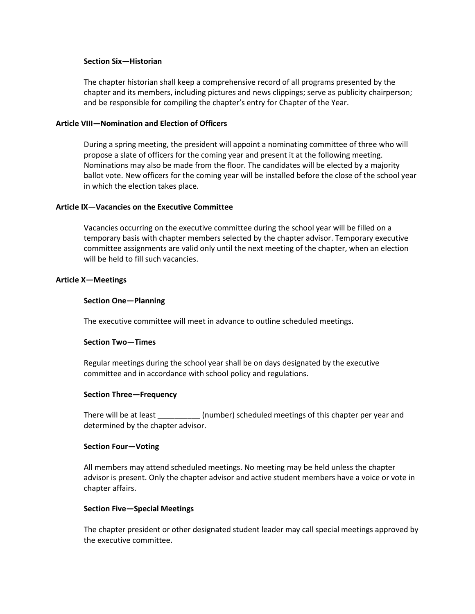### **Section Six—Historian**

The chapter historian shall keep a comprehensive record of all programs presented by the chapter and its members, including pictures and news clippings; serve as publicity chairperson; and be responsible for compiling the chapter's entry for Chapter of the Year.

## **Article VIII—Nomination and Election of Officers**

During a spring meeting, the president will appoint a nominating committee of three who will propose a slate of officers for the coming year and present it at the following meeting. Nominations may also be made from the floor. The candidates will be elected by a majority ballot vote. New officers for the coming year will be installed before the close of the school year in which the election takes place.

#### **Article IX—Vacancies on the Executive Committee**

Vacancies occurring on the executive committee during the school year will be filled on a temporary basis with chapter members selected by the chapter advisor. Temporary executive committee assignments are valid only until the next meeting of the chapter, when an election will be held to fill such vacancies.

#### **Article X—Meetings**

#### **Section One—Planning**

The executive committee will meet in advance to outline scheduled meetings.

### **Section Two—Times**

Regular meetings during the school year shall be on days designated by the executive committee and in accordance with school policy and regulations.

#### **Section Three—Frequency**

There will be at least \_\_\_\_\_\_\_\_\_\_\_ (number) scheduled meetings of this chapter per year and determined by the chapter advisor.

#### **Section Four—Voting**

All members may attend scheduled meetings. No meeting may be held unless the chapter advisor is present. Only the chapter advisor and active student members have a voice or vote in chapter affairs.

#### **Section Five—Special Meetings**

The chapter president or other designated student leader may call special meetings approved by the executive committee.